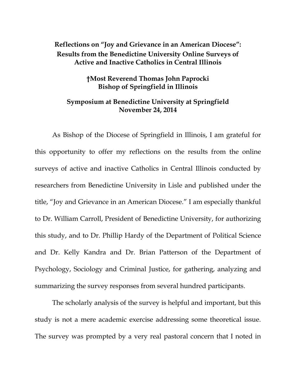## **Reflections on "Joy and Grievance in an American Diocese": Results from the Benedictine University Online Surveys of Active and Inactive Catholics in Central Illinois**

## **†Most Reverend Thomas John Paprocki Bishop of Springfield in Illinois**

## **Symposium at Benedictine University at Springfield November 24, 2014**

As Bishop of the Diocese of Springfield in Illinois, I am grateful for this opportunity to offer my reflections on the results from the online surveys of active and inactive Catholics in Central Illinois conducted by researchers from Benedictine University in Lisle and published under the title, "Joy and Grievance in an American Diocese." I am especially thankful to Dr. William Carroll, President of Benedictine University, for authorizing this study, and to Dr. Phillip Hardy of the Department of Political Science and Dr. Kelly Kandra and Dr. Brian Patterson of the Department of Psychology, Sociology and Criminal Justice, for gathering, analyzing and summarizing the survey responses from several hundred participants.

The scholarly analysis of the survey is helpful and important, but this study is not a mere academic exercise addressing some theoretical issue. The survey was prompted by a very real pastoral concern that I noted in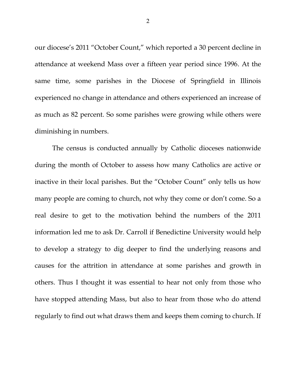our diocese's 2011 "October Count," which reported a 30 percent decline in attendance at weekend Mass over a fifteen year period since 1996. At the same time, some parishes in the Diocese of Springfield in Illinois experienced no change in attendance and others experienced an increase of as much as 82 percent. So some parishes were growing while others were diminishing in numbers.

The census is conducted annually by Catholic dioceses nationwide during the month of October to assess how many Catholics are active or inactive in their local parishes. But the "October Count" only tells us how many people are coming to church, not why they come or don't come. So a real desire to get to the motivation behind the numbers of the 2011 information led me to ask Dr. Carroll if Benedictine University would help to develop a strategy to dig deeper to find the underlying reasons and causes for the attrition in attendance at some parishes and growth in others. Thus I thought it was essential to hear not only from those who have stopped attending Mass, but also to hear from those who do attend regularly to find out what draws them and keeps them coming to church. If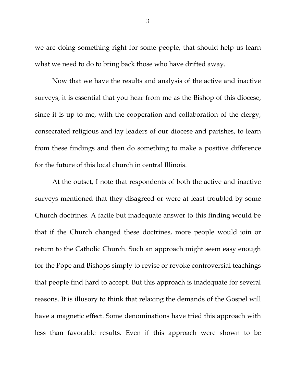we are doing something right for some people, that should help us learn what we need to do to bring back those who have drifted away.

Now that we have the results and analysis of the active and inactive surveys, it is essential that you hear from me as the Bishop of this diocese, since it is up to me, with the cooperation and collaboration of the clergy, consecrated religious and lay leaders of our diocese and parishes, to learn from these findings and then do something to make a positive difference for the future of this local church in central Illinois.

At the outset, I note that respondents of both the active and inactive surveys mentioned that they disagreed or were at least troubled by some Church doctrines. A facile but inadequate answer to this finding would be that if the Church changed these doctrines, more people would join or return to the Catholic Church. Such an approach might seem easy enough for the Pope and Bishops simply to revise or revoke controversial teachings that people find hard to accept. But this approach is inadequate for several reasons. It is illusory to think that relaxing the demands of the Gospel will have a magnetic effect. Some denominations have tried this approach with less than favorable results. Even if this approach were shown to be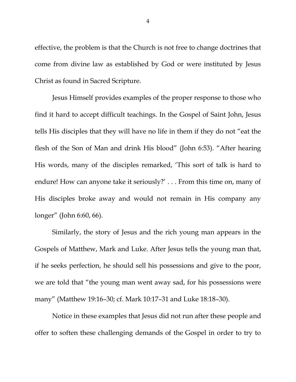effective, the problem is that the Church is not free to change doctrines that come from divine law as established by God or were instituted by Jesus Christ as found in Sacred Scripture.

Jesus Himself provides examples of the proper response to those who find it hard to accept difficult teachings. In the Gospel of Saint John, Jesus tells His disciples that they will have no life in them if they do not "eat the flesh of the Son of Man and drink His blood" (John 6:53). "After hearing His words, many of the disciples remarked, 'This sort of talk is hard to endure! How can anyone take it seriously?' . . . From this time on, many of His disciples broke away and would not remain in His company any longer" (John 6:60, 66).

Similarly, the story of Jesus and the rich young man appears in the Gospels of Matthew, Mark and Luke. After Jesus tells the young man that, if he seeks perfection, he should sell his possessions and give to the poor, we are told that "the young man went away sad, for his possessions were many" (Matthew 19:16–30; cf. Mark 10:17–31 and Luke 18:18–30).

Notice in these examples that Jesus did not run after these people and offer to soften these challenging demands of the Gospel in order to try to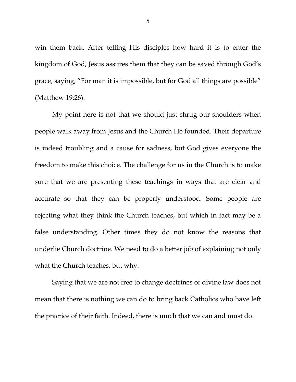win them back. After telling His disciples how hard it is to enter the kingdom of God, Jesus assures them that they can be saved through God's grace, saying, "For man it is impossible, but for God all things are possible" (Matthew 19:26).

My point here is not that we should just shrug our shoulders when people walk away from Jesus and the Church He founded. Their departure is indeed troubling and a cause for sadness, but God gives everyone the freedom to make this choice. The challenge for us in the Church is to make sure that we are presenting these teachings in ways that are clear and accurate so that they can be properly understood. Some people are rejecting what they think the Church teaches, but which in fact may be a false understanding. Other times they do not know the reasons that underlie Church doctrine. We need to do a better job of explaining not only what the Church teaches, but why.

Saying that we are not free to change doctrines of divine law does not mean that there is nothing we can do to bring back Catholics who have left the practice of their faith. Indeed, there is much that we can and must do.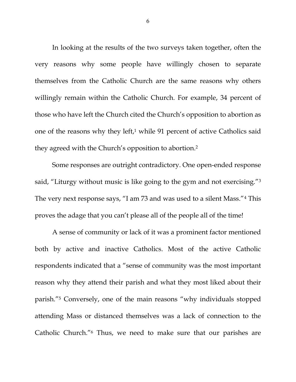In looking at the results of the two surveys taken together, often the very reasons why some people have willingly chosen to separate themselves from the Catholic Church are the same reasons why others willingly remain within the Catholic Church. For example, 34 percent of those who have left the Church cited the Church's opposition to abortion as one of the reasons why they left, $1$  while 91 percent of active Catholics said they agreed with the Church's opposition to abortion. 2

Some responses are outright contradictory. One open-ended response said, "Liturgy without music is like going to the gym and not exercising."<sup>3</sup> The very next response says, "I am 73 and was used to a silent Mass."<sup>4</sup> This proves the adage that you can't please all of the people all of the time!

A sense of community or lack of it was a prominent factor mentioned both by active and inactive Catholics. Most of the active Catholic respondents indicated that a "sense of community was the most important reason why they attend their parish and what they most liked about their parish."<sup>5</sup> Conversely, one of the main reasons "why individuals stopped attending Mass or distanced themselves was a lack of connection to the Catholic Church."<sup>6</sup> Thus, we need to make sure that our parishes are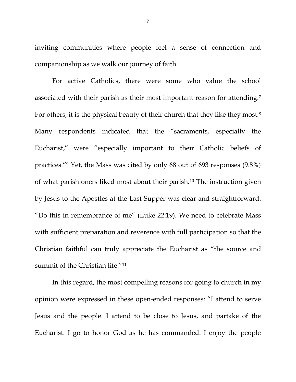inviting communities where people feel a sense of connection and companionship as we walk our journey of faith.

For active Catholics, there were some who value the school associated with their parish as their most important reason for attending.<sup>7</sup> For others, it is the physical beauty of their church that they like they most.<sup>8</sup> Many respondents indicated that the "sacraments, especially the Eucharist," were "especially important to their Catholic beliefs of practices."<sup>9</sup> Yet, the Mass was cited by only 68 out of 693 responses (9.8%) of what parishioners liked most about their parish.<sup>10</sup> The instruction given by Jesus to the Apostles at the Last Supper was clear and straightforward: "Do this in remembrance of me" (Luke 22:19). We need to celebrate Mass with sufficient preparation and reverence with full participation so that the Christian faithful can truly appreciate the Eucharist as "the source and summit of the Christian life."<sup>11</sup>

In this regard, the most compelling reasons for going to church in my opinion were expressed in these open-ended responses: "I attend to serve Jesus and the people. I attend to be close to Jesus, and partake of the Eucharist. I go to honor God as he has commanded. I enjoy the people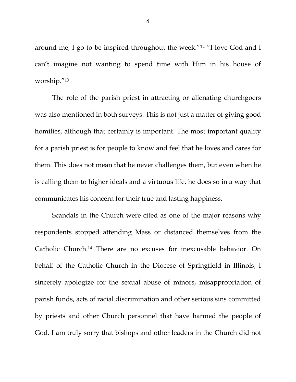around me, I go to be inspired throughout the week."<sup>12</sup> "I love God and I can't imagine not wanting to spend time with Him in his house of worship."<sup>13</sup>

The role of the parish priest in attracting or alienating churchgoers was also mentioned in both surveys. This is not just a matter of giving good homilies, although that certainly is important. The most important quality for a parish priest is for people to know and feel that he loves and cares for them. This does not mean that he never challenges them, but even when he is calling them to higher ideals and a virtuous life, he does so in a way that communicates his concern for their true and lasting happiness.

Scandals in the Church were cited as one of the major reasons why respondents stopped attending Mass or distanced themselves from the Catholic Church.<sup>14</sup> There are no excuses for inexcusable behavior. On behalf of the Catholic Church in the Diocese of Springfield in Illinois, I sincerely apologize for the sexual abuse of minors, misappropriation of parish funds, acts of racial discrimination and other serious sins committed by priests and other Church personnel that have harmed the people of God. I am truly sorry that bishops and other leaders in the Church did not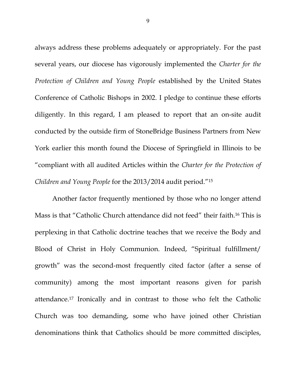always address these problems adequately or appropriately. For the past several years, our diocese has vigorously implemented the *Charter for the Protection of Children and Young People* established by the United States Conference of Catholic Bishops in 2002. I pledge to continue these efforts diligently. In this regard, I am pleased to report that an on-site audit conducted by the outside firm of StoneBridge Business Partners from New York earlier this month found the Diocese of Springfield in Illinois to be "compliant with all audited Articles within the *Charter for the Protection of Children and Young People* for the 2013/2014 audit period."<sup>15</sup>

Another factor frequently mentioned by those who no longer attend Mass is that "Catholic Church attendance did not feed" their faith.<sup>16</sup> This is perplexing in that Catholic doctrine teaches that we receive the Body and Blood of Christ in Holy Communion. Indeed, "Spiritual fulfillment/ growth" was the second-most frequently cited factor (after a sense of community) among the most important reasons given for parish attendance.<sup>17</sup> Ironically and in contrast to those who felt the Catholic Church was too demanding, some who have joined other Christian denominations think that Catholics should be more committed disciples,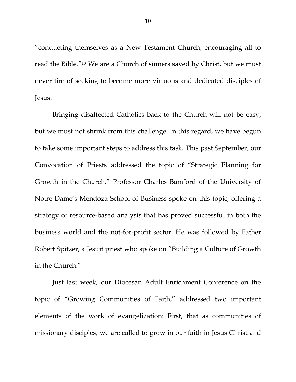"conducting themselves as a New Testament Church, encouraging all to read the Bible."<sup>18</sup> We are a Church of sinners saved by Christ, but we must never tire of seeking to become more virtuous and dedicated disciples of Jesus.

Bringing disaffected Catholics back to the Church will not be easy, but we must not shrink from this challenge. In this regard, we have begun to take some important steps to address this task. This past September, our Convocation of Priests addressed the topic of "Strategic Planning for Growth in the Church." Professor Charles Bamford of the University of Notre Dame's Mendoza School of Business spoke on this topic, offering a strategy of resource-based analysis that has proved successful in both the business world and the not-for-profit sector. He was followed by Father Robert Spitzer, a Jesuit priest who spoke on "Building a Culture of Growth in the Church."

Just last week, our Diocesan Adult Enrichment Conference on the topic of "Growing Communities of Faith," addressed two important elements of the work of evangelization: First, that as communities of missionary disciples, we are called to grow in our faith in Jesus Christ and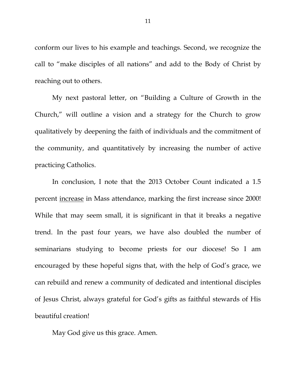conform our lives to his example and teachings. Second, we recognize the call to "make disciples of all nations" and add to the Body of Christ by reaching out to others.

My next pastoral letter, on "Building a Culture of Growth in the Church," will outline a vision and a strategy for the Church to grow qualitatively by deepening the faith of individuals and the commitment of the community, and quantitatively by increasing the number of active practicing Catholics.

In conclusion, I note that the 2013 October Count indicated a 1.5 percent increase in Mass attendance, marking the first increase since 2000! While that may seem small, it is significant in that it breaks a negative trend. In the past four years, we have also doubled the number of seminarians studying to become priests for our diocese! So I am encouraged by these hopeful signs that, with the help of God's grace, we can rebuild and renew a community of dedicated and intentional disciples of Jesus Christ, always grateful for God's gifts as faithful stewards of His beautiful creation!

May God give us this grace. Amen.